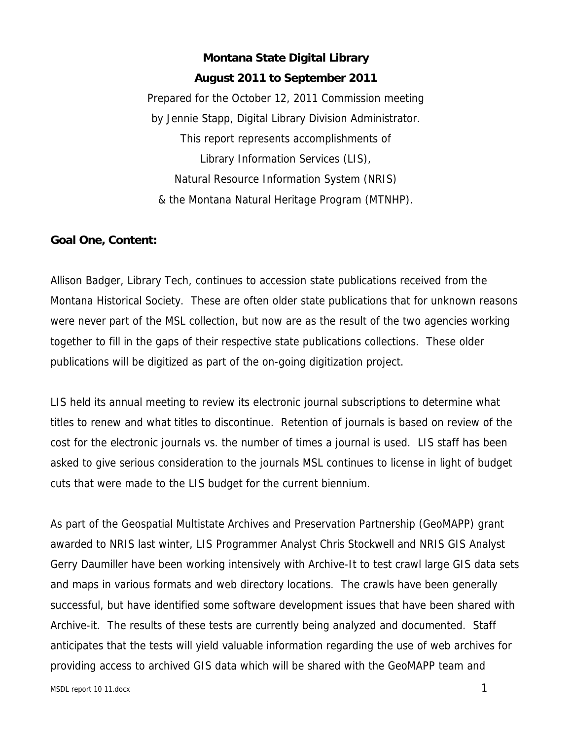## **Montana State Digital Library August 2011 to September 2011**

Prepared for the October 12, 2011 Commission meeting by Jennie Stapp, Digital Library Division Administrator. This report represents accomplishments of Library Information Services (LIS), Natural Resource Information System (NRIS) & the Montana Natural Heritage Program (MTNHP).

### **Goal One, Content:**

Allison Badger, Library Tech, continues to accession state publications received from the Montana Historical Society. These are often older state publications that for unknown reasons were never part of the MSL collection, but now are as the result of the two agencies working together to fill in the gaps of their respective state publications collections. These older publications will be digitized as part of the on-going digitization project.

LIS held its annual meeting to review its electronic journal subscriptions to determine what titles to renew and what titles to discontinue. Retention of journals is based on review of the cost for the electronic journals vs. the number of times a journal is used. LIS staff has been asked to give serious consideration to the journals MSL continues to license in light of budget cuts that were made to the LIS budget for the current biennium.

As part of the Geospatial Multistate Archives and Preservation Partnership (GeoMAPP) grant awarded to NRIS last winter, LIS Programmer Analyst Chris Stockwell and NRIS GIS Analyst Gerry Daumiller have been working intensively with Archive-It to test crawl large GIS data sets and maps in various formats and web directory locations. The crawls have been generally successful, but have identified some software development issues that have been shared with Archive-it. The results of these tests are currently being analyzed and documented. Staff anticipates that the tests will yield valuable information regarding the use of web archives for providing access to archived GIS data which will be shared with the GeoMAPP team and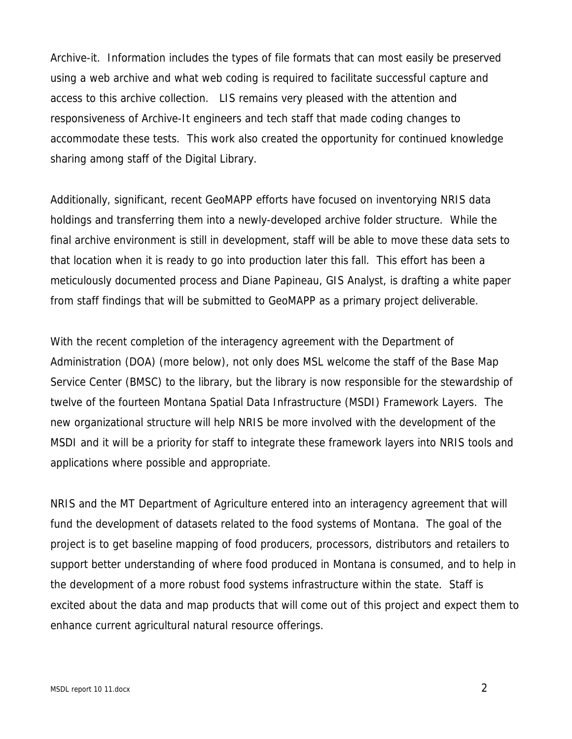Archive-it. Information includes the types of file formats that can most easily be preserved using a web archive and what web coding is required to facilitate successful capture and access to this archive collection. LIS remains very pleased with the attention and responsiveness of Archive-It engineers and tech staff that made coding changes to accommodate these tests. This work also created the opportunity for continued knowledge sharing among staff of the Digital Library.

Additionally, significant, recent GeoMAPP efforts have focused on inventorying NRIS data holdings and transferring them into a newly-developed archive folder structure. While the final archive environment is still in development, staff will be able to move these data sets to that location when it is ready to go into production later this fall. This effort has been a meticulously documented process and Diane Papineau, GIS Analyst, is drafting a white paper from staff findings that will be submitted to GeoMAPP as a primary project deliverable.

With the recent completion of the interagency agreement with the Department of Administration (DOA) (more below), not only does MSL welcome the staff of the Base Map Service Center (BMSC) to the library, but the library is now responsible for the stewardship of twelve of the fourteen Montana Spatial Data Infrastructure (MSDI) Framework Layers. The new organizational structure will help NRIS be more involved with the development of the MSDI and it will be a priority for staff to integrate these framework layers into NRIS tools and applications where possible and appropriate.

NRIS and the MT Department of Agriculture entered into an interagency agreement that will fund the development of datasets related to the food systems of Montana. The goal of the project is to get baseline mapping of food producers, processors, distributors and retailers to support better understanding of where food produced in Montana is consumed, and to help in the development of a more robust food systems infrastructure within the state. Staff is excited about the data and map products that will come out of this project and expect them to enhance current agricultural natural resource offerings.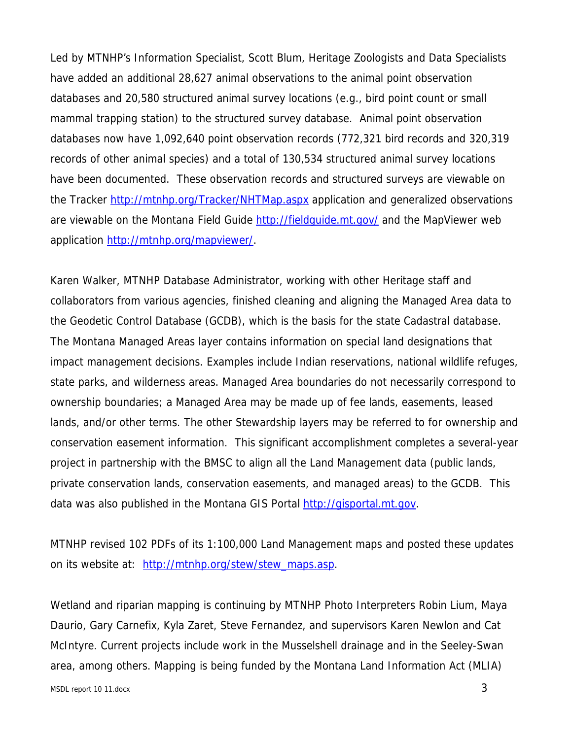Led by MTNHP's Information Specialist, Scott Blum, Heritage Zoologists and Data Specialists have added an additional 28,627 animal observations to the animal point observation databases and 20,580 structured animal survey locations (e.g., bird point count or small mammal trapping station) to the structured survey database. Animal point observation databases now have 1,092,640 point observation records (772,321 bird records and 320,319 records of other animal species) and a total of 130,534 structured animal survey locations have been documented. These observation records and structured surveys are viewable on the Tracker http://mtnhp.org/Tracker/NHTMap.aspx application and generalized observations are viewable on the Montana Field Guide http://fieldguide.mt.gov/ and the MapViewer web application http://mtnhp.org/mapviewer/.

Karen Walker, MTNHP Database Administrator, working with other Heritage staff and collaborators from various agencies, finished cleaning and aligning the Managed Area data to the Geodetic Control Database (GCDB), which is the basis for the state Cadastral database. The Montana Managed Areas layer contains information on special land designations that impact management decisions. Examples include Indian reservations, national wildlife refuges, state parks, and wilderness areas. Managed Area boundaries do not necessarily correspond to ownership boundaries; a Managed Area may be made up of fee lands, easements, leased lands, and/or other terms. The other Stewardship layers may be referred to for ownership and conservation easement information. This significant accomplishment completes a several-year project in partnership with the BMSC to align all the Land Management data (public lands, private conservation lands, conservation easements, and managed areas) to the GCDB. This data was also published in the Montana GIS Portal http://gisportal.mt.gov.

MTNHP revised 102 PDFs of its 1:100,000 Land Management maps and posted these updates on its website at: http://mtnhp.org/stew/stew\_maps.asp.

Wetland and riparian mapping is continuing by MTNHP Photo Interpreters Robin Lium, Maya Daurio, Gary Carnefix, Kyla Zaret, Steve Fernandez, and supervisors Karen Newlon and Cat McIntyre. Current projects include work in the Musselshell drainage and in the Seeley-Swan area, among others. Mapping is being funded by the Montana Land Information Act (MLIA)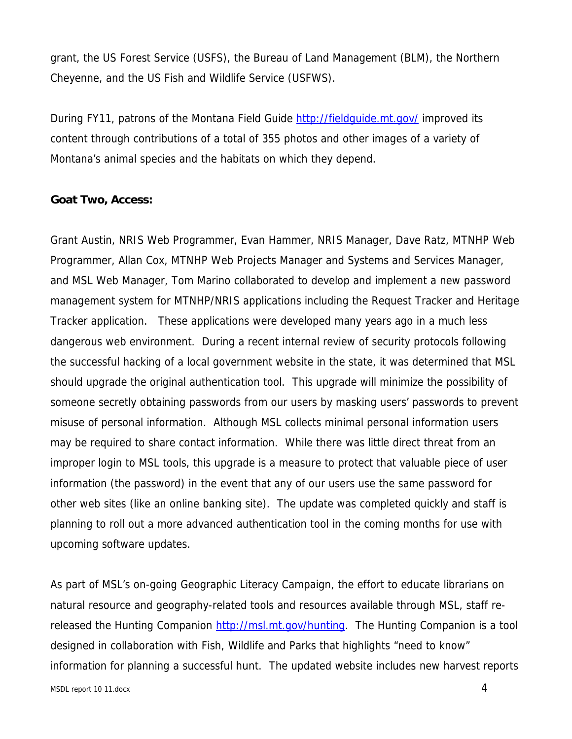grant, the US Forest Service (USFS), the Bureau of Land Management (BLM), the Northern Cheyenne, and the US Fish and Wildlife Service (USFWS).

During FY11, patrons of the Montana Field Guide http://fieldguide.mt.gov/ improved its content through contributions of a total of 355 photos and other images of a variety of Montana's animal species and the habitats on which they depend.

### **Goat Two, Access:**

Grant Austin, NRIS Web Programmer, Evan Hammer, NRIS Manager, Dave Ratz, MTNHP Web Programmer, Allan Cox, MTNHP Web Projects Manager and Systems and Services Manager, and MSL Web Manager, Tom Marino collaborated to develop and implement a new password management system for MTNHP/NRIS applications including the Request Tracker and Heritage Tracker application. These applications were developed many years ago in a much less dangerous web environment. During a recent internal review of security protocols following the successful hacking of a local government website in the state, it was determined that MSL should upgrade the original authentication tool. This upgrade will minimize the possibility of someone secretly obtaining passwords from our users by masking users' passwords to prevent misuse of personal information. Although MSL collects minimal personal information users may be required to share contact information. While there was little direct threat from an improper login to MSL tools, this upgrade is a measure to protect that valuable piece of user information (the password) in the event that any of our users use the same password for other web sites (like an online banking site). The update was completed quickly and staff is planning to roll out a more advanced authentication tool in the coming months for use with upcoming software updates.

As part of MSL's on-going Geographic Literacy Campaign, the effort to educate librarians on natural resource and geography-related tools and resources available through MSL, staff rereleased the Hunting Companion http://msl.mt.gov/hunting. The Hunting Companion is a tool designed in collaboration with Fish, Wildlife and Parks that highlights "need to know" information for planning a successful hunt. The updated website includes new harvest reports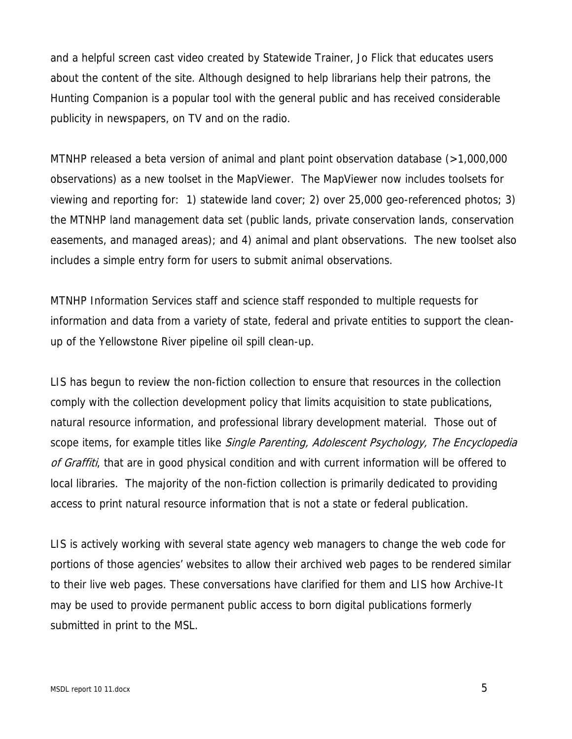and a helpful screen cast video created by Statewide Trainer, Jo Flick that educates users about the content of the site. Although designed to help librarians help their patrons, the Hunting Companion is a popular tool with the general public and has received considerable publicity in newspapers, on TV and on the radio.

MTNHP released a beta version of animal and plant point observation database (>1,000,000 observations) as a new toolset in the MapViewer. The MapViewer now includes toolsets for viewing and reporting for: 1) statewide land cover; 2) over 25,000 geo-referenced photos; 3) the MTNHP land management data set (public lands, private conservation lands, conservation easements, and managed areas); and 4) animal and plant observations. The new toolset also includes a simple entry form for users to submit animal observations.

MTNHP Information Services staff and science staff responded to multiple requests for information and data from a variety of state, federal and private entities to support the cleanup of the Yellowstone River pipeline oil spill clean-up.

LIS has begun to review the non-fiction collection to ensure that resources in the collection comply with the collection development policy that limits acquisition to state publications, natural resource information, and professional library development material. Those out of scope items, for example titles like Single Parenting, Adolescent Psychology, The Encyclopedia of Graffiti, that are in good physical condition and with current information will be offered to local libraries. The majority of the non-fiction collection is primarily dedicated to providing access to print natural resource information that is not a state or federal publication.

LIS is actively working with several state agency web managers to change the web code for portions of those agencies' websites to allow their archived web pages to be rendered similar to their live web pages. These conversations have clarified for them and LIS how Archive-It may be used to provide permanent public access to born digital publications formerly submitted in print to the MSL.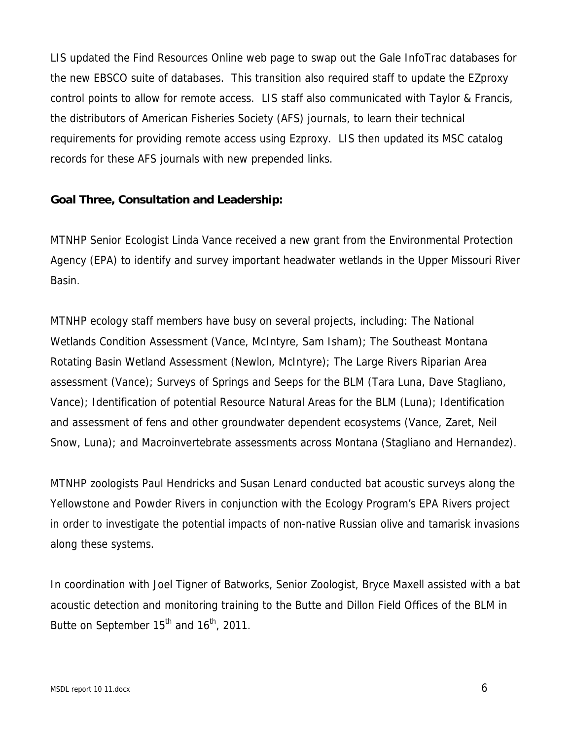LIS updated the Find Resources Online web page to swap out the Gale InfoTrac databases for the new EBSCO suite of databases. This transition also required staff to update the EZproxy control points to allow for remote access. LIS staff also communicated with Taylor & Francis, the distributors of American Fisheries Society (AFS) journals, to learn their technical requirements for providing remote access using Ezproxy. LIS then updated its MSC catalog records for these AFS journals with new prepended links.

### **Goal Three, Consultation and Leadership:**

MTNHP Senior Ecologist Linda Vance received a new grant from the Environmental Protection Agency (EPA) to identify and survey important headwater wetlands in the Upper Missouri River Basin.

MTNHP ecology staff members have busy on several projects, including: The National Wetlands Condition Assessment (Vance, McIntyre, Sam Isham); The Southeast Montana Rotating Basin Wetland Assessment (Newlon, McIntyre); The Large Rivers Riparian Area assessment (Vance); Surveys of Springs and Seeps for the BLM (Tara Luna, Dave Stagliano, Vance); Identification of potential Resource Natural Areas for the BLM (Luna); Identification and assessment of fens and other groundwater dependent ecosystems (Vance, Zaret, Neil Snow, Luna); and Macroinvertebrate assessments across Montana (Stagliano and Hernandez).

MTNHP zoologists Paul Hendricks and Susan Lenard conducted bat acoustic surveys along the Yellowstone and Powder Rivers in conjunction with the Ecology Program's EPA Rivers project in order to investigate the potential impacts of non-native Russian olive and tamarisk invasions along these systems.

In coordination with Joel Tigner of Batworks, Senior Zoologist, Bryce Maxell assisted with a bat acoustic detection and monitoring training to the Butte and Dillon Field Offices of the BLM in Butte on September  $15<sup>th</sup>$  and  $16<sup>th</sup>$ , 2011.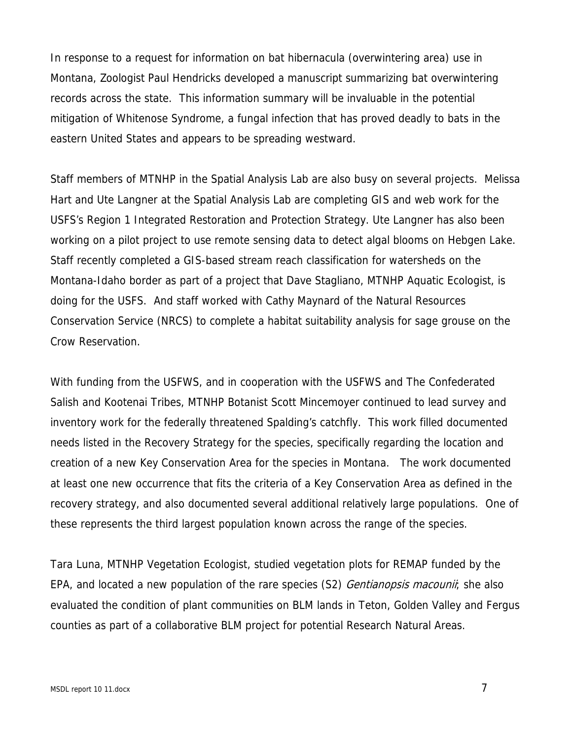In response to a request for information on bat hibernacula (overwintering area) use in Montana, Zoologist Paul Hendricks developed a manuscript summarizing bat overwintering records across the state. This information summary will be invaluable in the potential mitigation of Whitenose Syndrome, a fungal infection that has proved deadly to bats in the eastern United States and appears to be spreading westward.

Staff members of MTNHP in the Spatial Analysis Lab are also busy on several projects. Melissa Hart and Ute Langner at the Spatial Analysis Lab are completing GIS and web work for the USFS's Region 1 Integrated Restoration and Protection Strategy. Ute Langner has also been working on a pilot project to use remote sensing data to detect algal blooms on Hebgen Lake. Staff recently completed a GIS-based stream reach classification for watersheds on the Montana-Idaho border as part of a project that Dave Stagliano, MTNHP Aquatic Ecologist, is doing for the USFS. And staff worked with Cathy Maynard of the Natural Resources Conservation Service (NRCS) to complete a habitat suitability analysis for sage grouse on the Crow Reservation.

With funding from the USFWS, and in cooperation with the USFWS and The Confederated Salish and Kootenai Tribes, MTNHP Botanist Scott Mincemoyer continued to lead survey and inventory work for the federally threatened Spalding's catchfly. This work filled documented needs listed in the Recovery Strategy for the species, specifically regarding the location and creation of a new Key Conservation Area for the species in Montana. The work documented at least one new occurrence that fits the criteria of a Key Conservation Area as defined in the recovery strategy, and also documented several additional relatively large populations. One of these represents the third largest population known across the range of the species.

Tara Luna, MTNHP Vegetation Ecologist, studied vegetation plots for REMAP funded by the EPA, and located a new population of the rare species (S2) *Gentianopsis macounii*; she also evaluated the condition of plant communities on BLM lands in Teton, Golden Valley and Fergus counties as part of a collaborative BLM project for potential Research Natural Areas.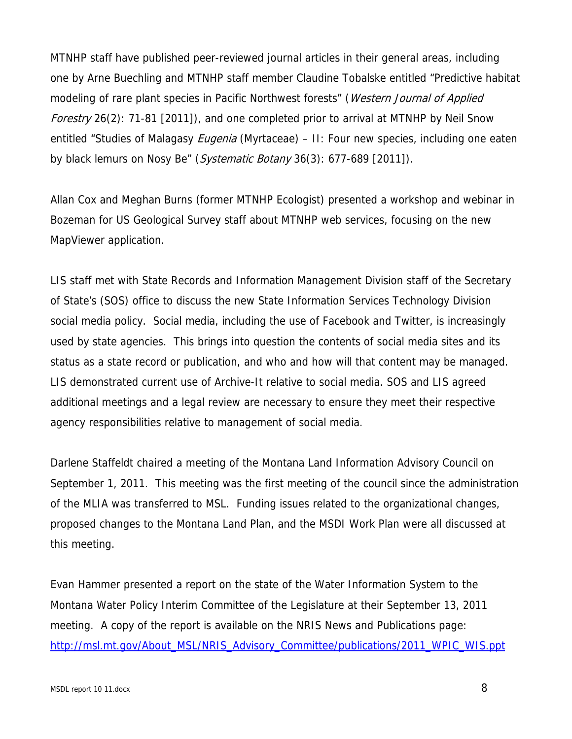MTNHP staff have published peer-reviewed journal articles in their general areas, including one by Arne Buechling and MTNHP staff member Claudine Tobalske entitled "Predictive habitat modeling of rare plant species in Pacific Northwest forests" (Western Journal of Applied Forestry 26(2): 71-81 [2011]), and one completed prior to arrival at MTNHP by Neil Snow entitled "Studies of Malagasy *Eugenia* (Myrtaceae) – II: Four new species, including one eaten by black lemurs on Nosy Be" (Systematic Botany 36(3): 677-689 [2011]).

Allan Cox and Meghan Burns (former MTNHP Ecologist) presented a workshop and webinar in Bozeman for US Geological Survey staff about MTNHP web services, focusing on the new MapViewer application.

LIS staff met with State Records and Information Management Division staff of the Secretary of State's (SOS) office to discuss the new State Information Services Technology Division social media policy. Social media, including the use of Facebook and Twitter, is increasingly used by state agencies. This brings into question the contents of social media sites and its status as a state record or publication, and who and how will that content may be managed. LIS demonstrated current use of Archive-It relative to social media. SOS and LIS agreed additional meetings and a legal review are necessary to ensure they meet their respective agency responsibilities relative to management of social media.

Darlene Staffeldt chaired a meeting of the Montana Land Information Advisory Council on September 1, 2011. This meeting was the first meeting of the council since the administration of the MLIA was transferred to MSL. Funding issues related to the organizational changes, proposed changes to the Montana Land Plan, and the MSDI Work Plan were all discussed at this meeting.

Evan Hammer presented a report on the state of the Water Information System to the Montana Water Policy Interim Committee of the Legislature at their September 13, 2011 meeting. A copy of the report is available on the NRIS News and Publications page: http://msl.mt.gov/About\_MSL/NRIS\_Advisory\_Committee/publications/2011\_WPIC\_WIS.ppt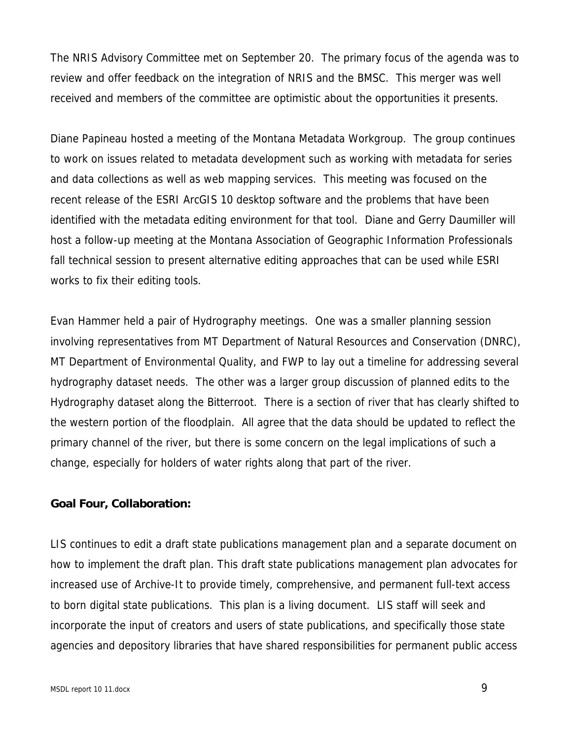The NRIS Advisory Committee met on September 20. The primary focus of the agenda was to review and offer feedback on the integration of NRIS and the BMSC. This merger was well received and members of the committee are optimistic about the opportunities it presents.

Diane Papineau hosted a meeting of the Montana Metadata Workgroup. The group continues to work on issues related to metadata development such as working with metadata for series and data collections as well as web mapping services. This meeting was focused on the recent release of the ESRI ArcGIS 10 desktop software and the problems that have been identified with the metadata editing environment for that tool. Diane and Gerry Daumiller will host a follow-up meeting at the Montana Association of Geographic Information Professionals fall technical session to present alternative editing approaches that can be used while ESRI works to fix their editing tools.

Evan Hammer held a pair of Hydrography meetings. One was a smaller planning session involving representatives from MT Department of Natural Resources and Conservation (DNRC), MT Department of Environmental Quality, and FWP to lay out a timeline for addressing several hydrography dataset needs. The other was a larger group discussion of planned edits to the Hydrography dataset along the Bitterroot. There is a section of river that has clearly shifted to the western portion of the floodplain. All agree that the data should be updated to reflect the primary channel of the river, but there is some concern on the legal implications of such a change, especially for holders of water rights along that part of the river.

### **Goal Four, Collaboration:**

LIS continues to edit a draft state publications management plan and a separate document on how to implement the draft plan. This draft state publications management plan advocates for increased use of Archive-It to provide timely, comprehensive, and permanent full-text access to born digital state publications. This plan is a living document. LIS staff will seek and incorporate the input of creators and users of state publications, and specifically those state agencies and depository libraries that have shared responsibilities for permanent public access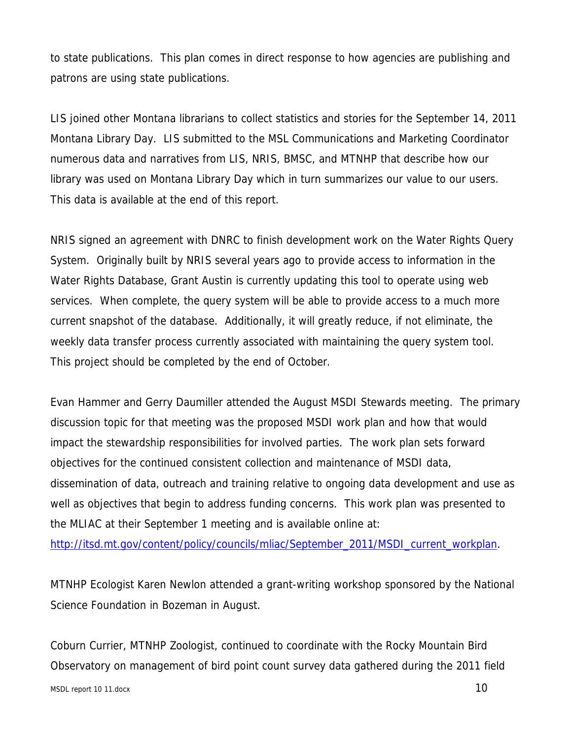to state publications. This plan comes in direct response to how agencies are publishing and patrons are using state publications.

LIS joined other Montana librarians to collect statistics and stories for the September 14, 2011 Montana Library Day. LIS submitted to the MSL Communications and Marketing Coordinator numerous data and narratives from LIS, NRIS, BMSC, and MTNHP that describe how our library was used on Montana Library Day which in turn summarizes our value to our users. This data is available at the end of this report.

NRIS signed an agreement with DNRC to finish development work on the Water Rights Query System. Originally built by NRIS several years ago to provide access to information in the Water Rights Database, Grant Austin is currently updating this tool to operate using web services. When complete, the query system will be able to provide access to a much more current snapshot of the database. Additionally, it will greatly reduce, if not eliminate, the weekly data transfer process currently associated with maintaining the query system tool. This project should be completed by the end of October.

Evan Hammer and Gerry Daumiller attended the August MSDI Stewards meeting. The primary discussion topic for that meeting was the proposed MSDI work plan and how that would impact the stewardship responsibilities for involved parties. The work plan sets forward objectives for the continued consistent collection and maintenance of MSDI data, dissemination of data, outreach and training relative to ongoing data development and use as well as objectives that begin to address funding concerns. This work plan was presented to the MLIAC at their September 1 meeting and is available online at:

http://itsd.mt.gov/content/policy/councils/mliac/September\_2011/MSDI\_current\_workplan.

MTNHP Ecologist Karen Newlon attended a grant-writing workshop sponsored by the National Science Foundation in Bozeman in August.

Coburn Currier, MTNHP Zoologist, continued to coordinate with the Rocky Mountain Bird Observatory on management of bird point count survey data gathered during the 2011 field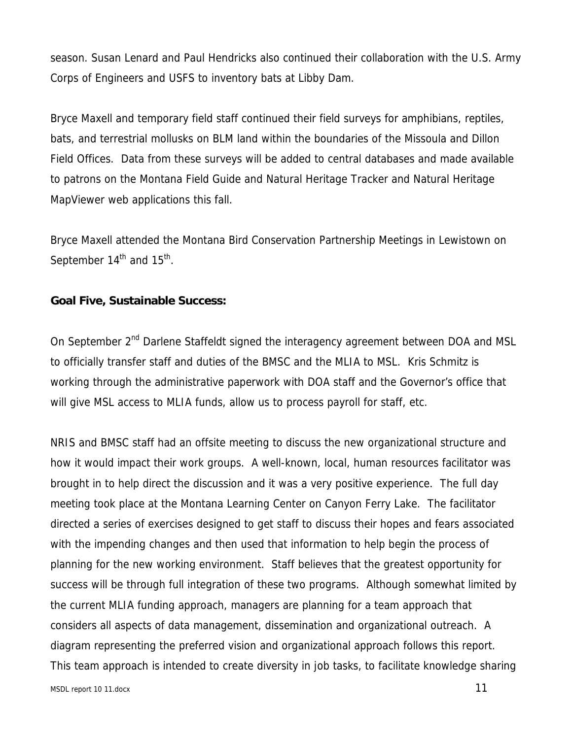season. Susan Lenard and Paul Hendricks also continued their collaboration with the U.S. Army Corps of Engineers and USFS to inventory bats at Libby Dam.

Bryce Maxell and temporary field staff continued their field surveys for amphibians, reptiles, bats, and terrestrial mollusks on BLM land within the boundaries of the Missoula and Dillon Field Offices. Data from these surveys will be added to central databases and made available to patrons on the Montana Field Guide and Natural Heritage Tracker and Natural Heritage MapViewer web applications this fall.

Bryce Maxell attended the Montana Bird Conservation Partnership Meetings in Lewistown on September  $14<sup>th</sup>$  and  $15<sup>th</sup>$ .

### **Goal Five, Sustainable Success:**

On September 2<sup>nd</sup> Darlene Staffeldt signed the interagency agreement between DOA and MSL to officially transfer staff and duties of the BMSC and the MLIA to MSL. Kris Schmitz is working through the administrative paperwork with DOA staff and the Governor's office that will give MSL access to MLIA funds, allow us to process payroll for staff, etc.

NRIS and BMSC staff had an offsite meeting to discuss the new organizational structure and how it would impact their work groups. A well-known, local, human resources facilitator was brought in to help direct the discussion and it was a very positive experience. The full day meeting took place at the Montana Learning Center on Canyon Ferry Lake. The facilitator directed a series of exercises designed to get staff to discuss their hopes and fears associated with the impending changes and then used that information to help begin the process of planning for the new working environment. Staff believes that the greatest opportunity for success will be through full integration of these two programs. Although somewhat limited by the current MLIA funding approach, managers are planning for a team approach that considers all aspects of data management, dissemination and organizational outreach. A diagram representing the preferred vision and organizational approach follows this report. This team approach is intended to create diversity in job tasks, to facilitate knowledge sharing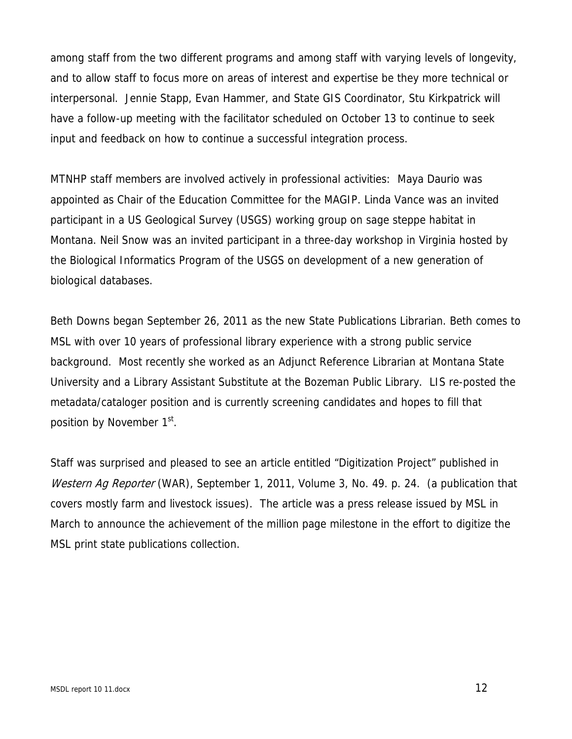among staff from the two different programs and among staff with varying levels of longevity, and to allow staff to focus more on areas of interest and expertise be they more technical or interpersonal. Jennie Stapp, Evan Hammer, and State GIS Coordinator, Stu Kirkpatrick will have a follow-up meeting with the facilitator scheduled on October 13 to continue to seek input and feedback on how to continue a successful integration process.

MTNHP staff members are involved actively in professional activities: Maya Daurio was appointed as Chair of the Education Committee for the MAGIP. Linda Vance was an invited participant in a US Geological Survey (USGS) working group on sage steppe habitat in Montana. Neil Snow was an invited participant in a three-day workshop in Virginia hosted by the Biological Informatics Program of the USGS on development of a new generation of biological databases.

Beth Downs began September 26, 2011 as the new State Publications Librarian. Beth comes to MSL with over 10 years of professional library experience with a strong public service background. Most recently she worked as an Adjunct Reference Librarian at Montana State University and a Library Assistant Substitute at the Bozeman Public Library. LIS re-posted the metadata/cataloger position and is currently screening candidates and hopes to fill that position by November 1<sup>st</sup>.

Staff was surprised and pleased to see an article entitled "Digitization Project" published in Western Ag Reporter (WAR), September 1, 2011, Volume 3, No. 49. p. 24. (a publication that covers mostly farm and livestock issues). The article was a press release issued by MSL in March to announce the achievement of the million page milestone in the effort to digitize the MSL print state publications collection.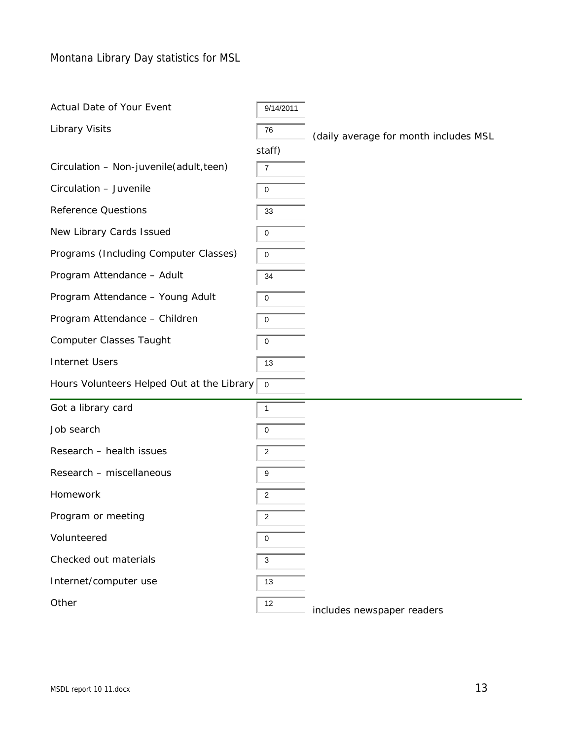Montana Library Day statistics for MSL

| <b>Actual Date of Your Event</b> |  |  |
|----------------------------------|--|--|
|                                  |  |  |

 $9/14/2011$ 

staff)

Library Visits **1988** (daily average for month includes MSL

| Circulation - Non-juvenile (adult, teen) | $\vert$ 7 |
|------------------------------------------|-----------|
|------------------------------------------|-----------|

Circulation – Juvenile  $\sqrt{0}$ 

New Library Cards Issued  $\sqrt{0}$ 

Programs (Including Computer Classes)  $\sqrt{0}$ 

Reference Questions  $\sqrt{33}$ 

Program Attendance – Adult  $\sqrt{34}$ 

Program Attendance – Young Adult  $\sqrt{0}$ 

Program Attendance – Children  $\sqrt{0}$ 

Computer Classes Taught  $\sqrt{0}$ 

Internet Users 13

Hours Volunteers Helped Out at the Library  $\boxed{0}$ 

| Got a library card |  |
|--------------------|--|
|                    |  |

Job search  $\sqrt{0}$ 

Research – health issues  $\sqrt{2}$ 

Research – miscellaneous  $\sqrt{9}$ 

Homework 2

Program or meeting  $\sqrt{2}$ 

Volunteered and 0

Checked out materials  $\sqrt{3}$ 

Internet/computer use 13

Other  $\sqrt{12}$ 

includes newspaper readers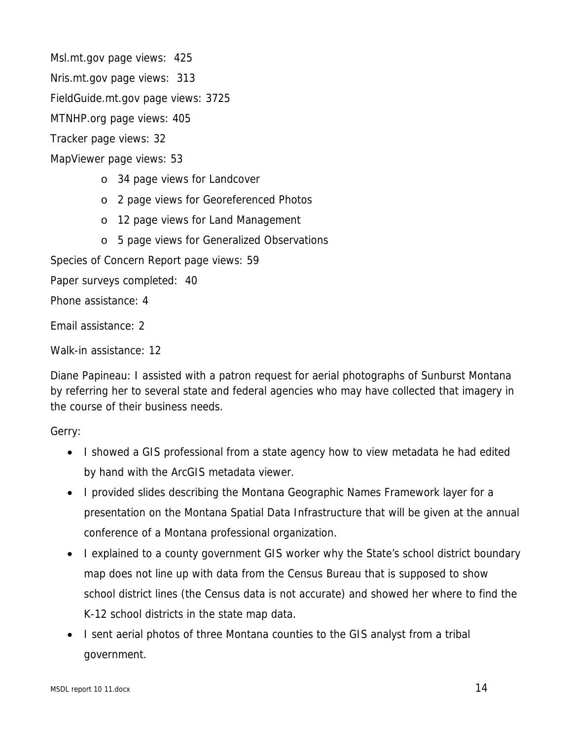Msl.mt.gov page views: 425

Nris.mt.gov page views: 313

FieldGuide.mt.gov page views: 3725

MTNHP.org page views: 405

Tracker page views: 32

MapViewer page views: 53

- o 34 page views for Landcover
- o 2 page views for Georeferenced Photos
- o 12 page views for Land Management
- o 5 page views for Generalized Observations

Species of Concern Report page views: 59

Paper surveys completed: 40

Phone assistance: 4

Email assistance: 2

Walk-in assistance: 12

Diane Papineau: I assisted with a patron request for aerial photographs of Sunburst Montana by referring her to several state and federal agencies who may have collected that imagery in the course of their business needs.

Gerry:

- I showed a GIS professional from a state agency how to view metadata he had edited by hand with the ArcGIS metadata viewer.
- I provided slides describing the Montana Geographic Names Framework layer for a presentation on the Montana Spatial Data Infrastructure that will be given at the annual conference of a Montana professional organization.
- I explained to a county government GIS worker why the State's school district boundary map does not line up with data from the Census Bureau that is supposed to show school district lines (the Census data is not accurate) and showed her where to find the K-12 school districts in the state map data.
- I sent aerial photos of three Montana counties to the GIS analyst from a tribal government.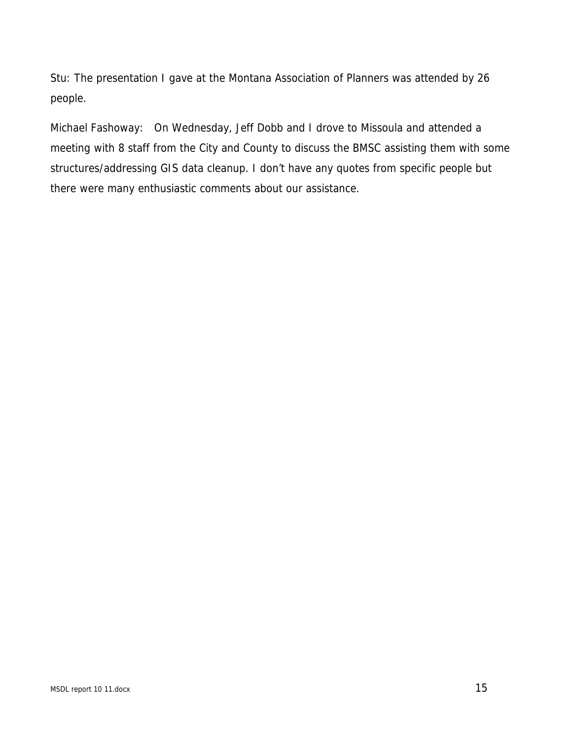Stu: The presentation I gave at the Montana Association of Planners was attended by 26 people.

Michael Fashoway: On Wednesday, Jeff Dobb and I drove to Missoula and attended a meeting with 8 staff from the City and County to discuss the BMSC assisting them with some structures/addressing GIS data cleanup. I don't have any quotes from specific people but there were many enthusiastic comments about our assistance.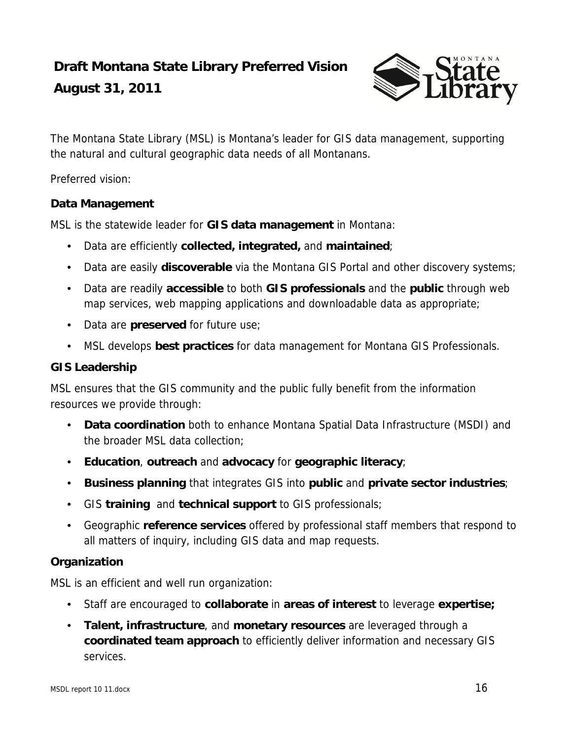# **Draft Montana State Library Preferred Vision**

### **August 31, 2011**



The Montana State Library (MSL) is Montana's leader for GIS data management, supporting the natural and cultural geographic data needs of all Montanans.

Preferred vision:

### **Data Management**

MSL is the statewide leader for **GIS data management** in Montana:

- Data are efficiently **collected, integrated,** and **maintained**;
- Data are easily **discoverable** via the Montana GIS Portal and other discovery systems;
- Data are readily **accessible** to both **GIS professionals** and the **public** through web map services, web mapping applications and downloadable data as appropriate;
- Data are **preserved** for future use;
- MSL develops **best practices** for data management for Montana GIS Professionals.

### **GIS Leadership**

MSL ensures that the GIS community and the public fully benefit from the information resources we provide through:

- **Data coordination** both to enhance Montana Spatial Data Infrastructure (MSDI) and the broader MSL data collection;
- **Education**, **outreach** and **advocacy** for **geographic literacy**;
- **Business planning** that integrates GIS into **public** and **private sector industries**;
- GIS **training** and **technical support** to GIS professionals;
- Geographic **reference services** offered by professional staff members that respond to all matters of inquiry, including GIS data and map requests.

### **Organization**

MSL is an efficient and well run organization:

- Staff are encouraged to **collaborate** in **areas of interest** to leverage **expertise;**
- **Talent, infrastructure**, and **monetary resources** are leveraged through a **coordinated team approach** to efficiently deliver information and necessary GIS services.